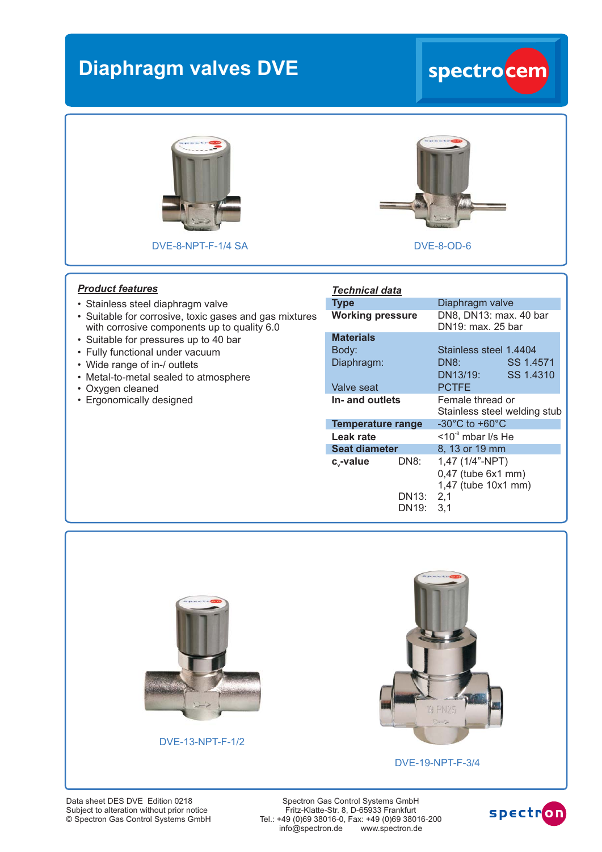## **Diaphragm valves DVE spectrocem**





DVE-8-NPT-F-1/4 SA DVE-8-OD-6

## *Product features*

- Stainless steel diaphragm valve
- Suitable for corrosive, toxic gases and gas mixtures with corrosive components up to quality 6.0
- Suitable for pressures up to 40 bar
- Fully functional under vacuum
- Wide range of in-/ outlets
- Metal-to-metal sealed to atmosphere
- Oxygen cleaned
- Ergonomically designed

| <b>CALL OF BUY CENTER</b><br>× |  |
|--------------------------------|--|
|                                |  |

## *Technical data*

| Type                     |                | Diaphragm valve                                              |
|--------------------------|----------------|--------------------------------------------------------------|
| <b>Working pressure</b>  |                | DN8, DN13: max. 40 bar<br>DN19: max. 25 bar                  |
| <b>Materials</b>         |                |                                                              |
| Body:                    |                | Stainless steel 1.4404                                       |
| Diaphragm:               |                | DN8:<br>SS 1.4571                                            |
|                          |                | SS 1.4310<br>DN13/19:                                        |
| Valve seat               |                | <b>PCTFE</b>                                                 |
| In- and outlets          |                | Female thread or<br>Stainless steel welding stub             |
| <b>Temperature range</b> |                | $-30^{\circ}$ C to $+60^{\circ}$ C                           |
| Leak rate                |                | $\leq 10^{-8}$ mbar I/s He                                   |
| <b>Seat diameter</b>     |                | 8, 13 or 19 mm                                               |
| c <sub>v</sub> -value    | DN8:           | 1,47 (1/4"-NPT)<br>0,47 (tube 6x1 mm)<br>1,47 (tube 10x1 mm) |
|                          | DN13:<br>DN19: | 2,1<br>3,1                                                   |



DVE-13-NPT-F-1/2



DVE-19-NPT-F-3/4

Data sheet DES DVE Edition 0218 © Spectron Gas Control Systems GmbH Subject to alteration without prior notice

Spectron Gas Control Systems GmbH Fritz-Klatte-Str. 8, D-65933 Frankfurt Tel.: +49 (0)69 38016-0, Fax: +49 (0)69 38016-200<br>info@spectron.de www.spectron.de  $info@spectron.de$